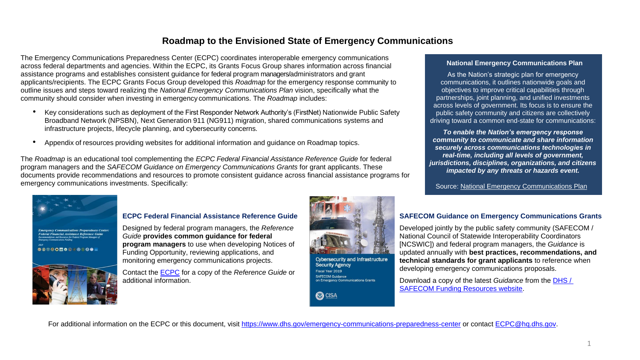# **Roadmap to the Envisioned State of Emergency Communications**

The Emergency Communications Preparedness Center (ECPC) coordinates interoperable emergency communications across federal departments and agencies. Within the ECPC, its Grants Focus Group shares information across financial assistance programs and establishes consistent guidance for federal program managers/administrators and grant applicants/recipients. The ECPC Grants Focus Group developed this *Roadmap* for the emergency response community to outline issues and steps toward realizing the *National Emergency Communications Plan* vision, specifically what the community should consider when investing in emergency communications. The *Roadmap* includes:

- Key considerations such as deployment of the First Responder Network Authority's (FirstNet) Nationwide Public Safety Broadband Network (NPSBN), Next Generation 911 (NG911) migration, shared communications systems and infrastructure projects, lifecycle planning, and cybersecurity concerns.
- Appendix of resources providing websites for additional information and guidance on Roadmap topics.

The *Roadmap* is an educational tool complementing the *ECPC Federal Financial Assistance Reference Guide* for federal program managers and the *SAFECOM Guidance on Emergency Communications Grants* for grant applicants. These documents provide recommendations and resources to promote consistent guidance across financial assistance programs for emergency communications investments. Specifically:



## **ECPC Federal Financial Assistance Reference Guide**

Designed by federal program managers, the *Reference Guide* **provides common guidance for federal program managers** to use when developing Notices of Funding Opportunity, reviewing applications, and monitoring emergency communications projects.

Contact the [ECPC f](mailto:%20ECPC@hq.dhs.gov)or a copy of the *Reference Guide* or additional information.



**Cybersecurity and Infrastructure Security Agency** Fiscal Year 2019 SAFECOM Guidance on Emergency Communications Grants



## **National Emergency Communications Plan**

As the Nation's strategic plan for emergency communications, it outlines nationwide goals and objectives to improve critical capabilities through partnerships, joint planning, and unified investments across levels of government. Its focus is to ensure the public safety community and citizens are collectively driving toward a common end-state for communications:

*To enable the Nation's emergency response community to communicate and share information securely across communications technologies in real-time, including all levels of government, jurisdictions, disciplines, organizations, and citizens impacted by any threats or hazards event.* 

Source: National Emergency Communications Plan

# **SAFECOM Guidance on Emergency Communications Grants**

Developed jointly by the public safety community (SAFECOM / National Council of Statewide Interoperability Coordinators [NCSWIC]) and federal program managers, the *Guidance* is updated annually with **best practices, recommendations, and technical standards for grant applicants** to reference when developing emergency communications proposals.

Download a copy of the latest *Guidance* from the [DHS /](https://www.dhs.gov/safecom/funding)  [SAFECOM Funding Resources website.](https://www.dhs.gov/safecom/funding) 

For additional information on the ECPC or this document, visit https://www.dhs.gov/emergency-communications-preparedness-center or contact ECPC@hq.dhs.gov.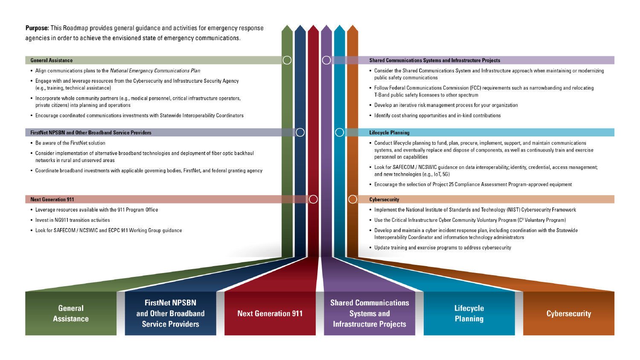**Purpose:** This Roadmap provides general quidance and activities for emergency response agencies in order to achieve the envisioned state of emergency communications.

### **General Assistance**

- Alian communications plans to the National Emergency Communications Plan
- Engage with and leverage resources from the Cybersecurity and Infrastructure Security Agency (e.g., training, technical assistance)
- Incorporate whole community partners (e.g., medical personnel, critical infrastructure operators, private citizens) into planning and operations
- Encourage coordinated communications investments with Statewide Interoperability Coordinators

### **FirstNet NPSBN and Other Broadband Service Providers**

- Be aware of the FirstNet solution
- Consider implementation of alternative broadband technologies and deployment of fiber optic backhaul networks in rural and unserved areas
- Coordinate broadband investments with applicable governing bodies, FirstNet, and federal granting agency

#### **Next Generation 911**

- Leverage resources available with the 911 Program Office
- Invest in NG911 transition activities
- Look for SAFECOM / NCSWIC and ECPC 911 Working Group guidance

**General Assistance** 

**FirstNet NPSBN** and Other Broadband **Service Providers** 

**Next Generation 911** 

#### **Shared Communications Systems and Infrastructure Projects**

- Consider the Shared Communications System and Infrastructure approach when maintaining or modernizing public safety communications
- Follow Federal Communications Commission (FCC) requirements such as narrowbanding and relocating T-Band public safety licensees to other spectrum
- Develop an iterative risk management process for your organization
- Identify cost sharing opportunities and in-kind contributions

### **Lifecycle Planning**

- Conduct lifecycle planning to fund, plan, procure, implement, support, and maintain communications systems, and eventually replace and dispose of components, as well as continuously train and exercise personnel on capabilities
- Look for SAFECOM / NCSWIC guidance on data interoperability; identity, credential, access management; and new technologies (e.g., IoT, 5G)
- Encourage the selection of Project 25 Compliance Assessment Program-approved equipment

#### **Cybersecurity**

- Implement the National Institute of Standards and Technology (NIST) Cybersecurity Framework
- Use the Critical Infrastructure Cyber Community Voluntary Program (C<sup>3</sup> Voluntary Program)
- Develop and maintain a cyber incident response plan, including coordination with the Statewide Interoperability Coordinator and information technology administrators
- Update training and exercise programs to address cybersecurity

**Shared Communications Systems and Infrastructure Projects** 

**Lifecycle Planning** 

**Cybersecurity**